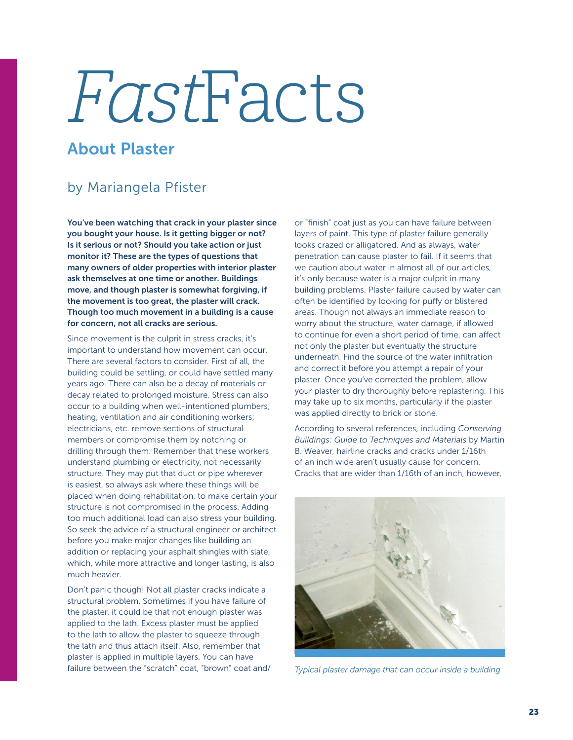## FastFacts

## About Plaster

## by Mariangela Pfister

You've been watching that crack in your plaster since you bought your house. Is it getting bigger or not? Is it serious or not? Should you take action or just monitor it? These are the types of questions that many owners of older properties with interior plaster ask themselves at one time or another. Buildings move, and though plaster is somewhat forgiving, if the movement is too great, the plaster will crack. Though too much movement in a building is a cause for concern, not all cracks are serious.

Since movement is the culprit in stress cracks, it's important to understand how movement can occur. There are several factors to consider. First of all, the building could be settling, or could have settled many years ago. There can also be a decay of materials or decay related to prolonged moisture. Stress can also occur to a building when well-intentioned plumbers; heating, ventilation and air conditioning workers; electricians, etc. remove sections of structural members or compromise them by notching or drilling through them. Remember that these workers understand plumbing or electricity, not necessarily structure. They may put that duct or pipe wherever is easiest, so always ask where these things will be placed when doing rehabilitation, to make certain your structure is not compromised in the process. Adding too much additional load can also stress your building. So seek the advice of a structural engineer or architect before you make major changes like building an addition or replacing your asphalt shingles with slate, which, while more attractive and longer lasting, is also much heavier.

Don't panic though! Not all plaster cracks indicate a structural problem. Sometimes if you have failure of the plaster, it could be that not enough plaster was applied to the lath. Excess plaster must be applied to the lath to allow the plaster to squeeze through the lath and thus attach itself. Also, remember that plaster is applied in multiple layers. You can have failure between the "scratch" coat, "brown" coat and/ or "finish" coat just as you can have failure between layers of paint. This type of plaster failure generally looks crazed or alligatored. And as always, water penetration can cause plaster to fail. If it seems that we caution about water in almost all of our articles, it's only because water is a major culprit in many building problems. Plaster failure caused by water can often be identified by looking for puffy or blistered areas. Though not always an immediate reason to worry about the structure, water damage, if allowed to continue for even a short period of time, can affect not only the plaster but eventually the structure underneath. Find the source of the water infiltration and correct it before you attempt a repair of your plaster. Once you've corrected the problem, allow your plaster to dry thoroughly before replastering. This may take up to six months, particularly if the plaster was applied directly to brick or stone.

According to several references, including *Conserving Buildings: Guide to Techniques and Materials* by Martin B. Weaver, hairline cracks and cracks under 1/16th of an inch wide aren't usually cause for concern. Cracks that are wider than 1/16th of an inch, however,



*Typical plaster damage that can occur inside a building*